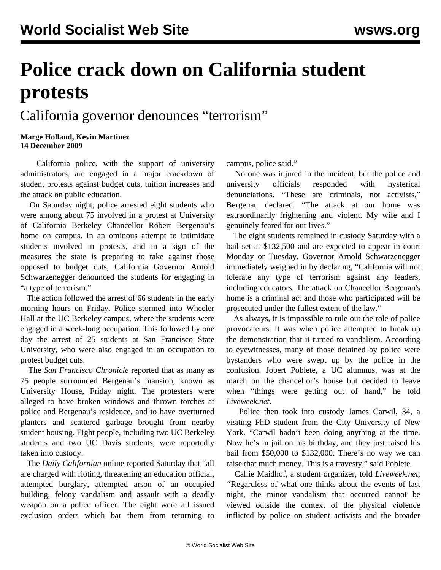## **Police crack down on California student protests**

## California governor denounces "terrorism"

## **Marge Holland, Kevin Martinez 14 December 2009**

 California police, with the support of university administrators, are engaged in a major crackdown of student protests against budget cuts, tuition increases and the attack on public education.

 On Saturday night, police arrested eight students who were among about 75 involved in a protest at University of California Berkeley Chancellor Robert Bergenau's home on campus. In an ominous attempt to intimidate students involved in protests, and in a sign of the measures the state is preparing to take against those opposed to budget cuts, California Governor Arnold Schwarzenegger denounced the students for engaging in "a type of terrorism."

 The action followed the arrest of 66 students in the early morning hours on Friday. Police stormed into Wheeler Hall at the UC Berkeley campus, where the students were engaged in a week-long occupation. This followed by one day the arrest of 25 students at San Francisco State University, who were also engaged in an occupation to protest budget cuts.

 The *San Francisco Chronicle* reported that as many as 75 people surrounded Bergenau's mansion, known as University House, Friday night. The protesters were alleged to have broken windows and thrown torches at police and Bergenau's residence, and to have overturned planters and scattered garbage brought from nearby student housing. Eight people, including two UC Berkeley students and two UC Davis students, were reportedly taken into custody.

 The *Daily Californian* online reported Saturday that "all are charged with rioting, threatening an education official, attempted burglary, attempted arson of an occupied building, felony vandalism and assault with a deadly weapon on a police officer. The eight were all issued exclusion orders which bar them from returning to campus, police said."

 No one was injured in the incident, but the police and university officials responded with hysterical denunciations. "These are criminals, not activists," Bergenau declared. "The attack at our home was extraordinarily frightening and violent. My wife and I genuinely feared for our lives."

 The eight students remained in custody Saturday with a bail set at \$132,500 and are expected to appear in court Monday or Tuesday. Governor Arnold Schwarzenegger immediately weighed in by declaring, "California will not tolerate any type of terrorism against any leaders, including educators. The attack on Chancellor Bergenau's home is a criminal act and those who participated will be prosecuted under the fullest extent of the law."

 As always, it is impossible to rule out the role of police provocateurs. It was when police attempted to break up the demonstration that it turned to vandalism. According to eyewitnesses, many of those detained by police were bystanders who were swept up by the police in the confusion. Jobert Poblete, a UC alumnus, was at the march on the chancellor's house but decided to leave when "things were getting out of hand," he told *Liveweek.net*.

 Police then took into custody James Carwil, 34, a visiting PhD student from the City University of New York. "Carwil hadn't been doing anything at the time. Now he's in jail on his birthday, and they just raised his bail from \$50,000 to \$132,000. There's no way we can raise that much money. This is a travesty," said Poblete.

 Callie Maidhof, a student organizer, told *Liveweek.net, "*Regardless of what one thinks about the events of last night, the minor vandalism that occurred cannot be viewed outside the context of the physical violence inflicted by police on student activists and the broader